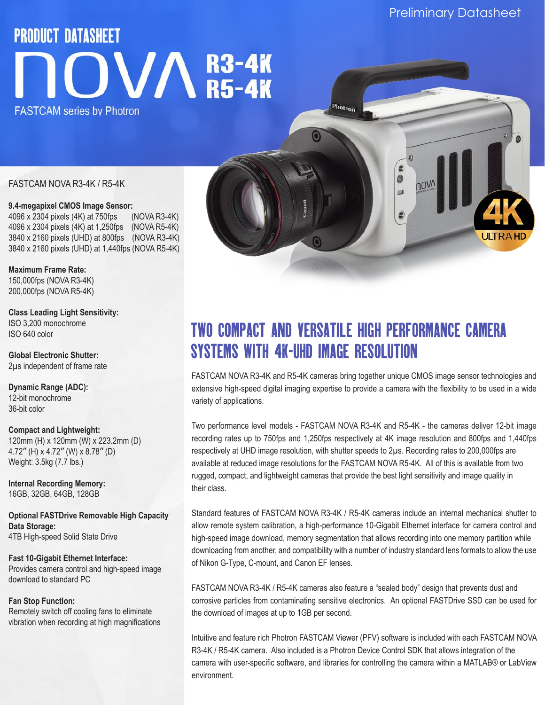# **PRODUCT DATASHEET**  $\mathbf{OVM}^{\text{R3-4K}}_{\text{R5-4K}}$ **FASTCAM series by Photron**

# FASTCAM NOVA R3-4K / R5-4K

**9.4-megapixel CMOS Image Sensor:**  4096 x 2304 pixels (4K) at 750fps (NOVA R3-4K) 4096 x 2304 pixels (4K) at 1,250fps (NOVA R5-4K) 3840 x 2160 pixels (UHD) at 800fps (NOVA R3-4K) 3840 x 2160 pixels (UHD) at 1,440fps (NOVA R5-4K)

**Maximum Frame Rate:**  150,000fps (NOVA R3-4K) 200,000fps (NOVA R5-4K)

**Class Leading Light Sensitivity:**  ISO 3,200 monochrome ISO 640 color

**Global Electronic Shutter:**  2µs independent of frame rate

**Dynamic Range (ADC):**  12-bit monochrome 36-bit color

**Compact and Lightweight:**  120mm (H) x 120mm (W) x 223.2mm (D) 4.72" (H) x 4.72" (W) x 8.78" (D) Weight: 3.5kg (7.7 lbs.)

**Internal Recording Memory:**  16GB, 32GB, 64GB, 128GB

**Optional FASTDrive Removable High Capacity Data Storage:** 4TB High-speed Solid State Drive

**Fast 10-Gigabit Ethernet Interface:** Provides camera control and high-speed image download to standard PC

# **Fan Stop Function:**

Remotely switch off cooling fans to eliminate vibration when recording at high magnifications

# Two Compact and versatile high performance camera systems with 4k-UHD Image Resolution

Photron

J

FASTCAM NOVA R3-4K and R5-4K cameras bring together unique CMOS image sensor technologies and extensive high-speed digital imaging expertise to provide a camera with the flexibility to be used in a wide variety of applications.

Two performance level models - FASTCAM NOVA R3-4K and R5-4K - the cameras deliver 12-bit image recording rates up to 750fps and 1,250fps respectively at 4K image resolution and 800fps and 1,440fps respectively at UHD image resolution, with shutter speeds to 2µs. Recording rates to 200,000fps are available at reduced image resolutions for the FASTCAM NOVA R5-4K. All of this is available from two rugged, compact, and lightweight cameras that provide the best light sensitivity and image quality in their class.

Standard features of FASTCAM NOVA R3-4K / R5-4K cameras include an internal mechanical shutter to allow remote system calibration, a high-performance 10-Gigabit Ethernet interface for camera control and high-speed image download, memory segmentation that allows recording into one memory partition while downloading from another, and compatibility with a number of industry standard lens formats to allow the use of Nikon G-Type, C-mount, and Canon EF lenses.

FASTCAM NOVA R3-4K / R5-4K cameras also feature a "sealed body" design that prevents dust and corrosive particles from contaminating sensitive electronics. An optional FASTDrive SSD can be used for the download of images at up to 1GB per second.

Intuitive and feature rich Photron FASTCAM Viewer (PFV) software is included with each FASTCAM NOVA R3-4K / R5-4K camera. Also included is a Photron Device Control SDK that allows integration of the camera with user-specific software, and libraries for controlling the camera within a MATLAB® or LabView environment.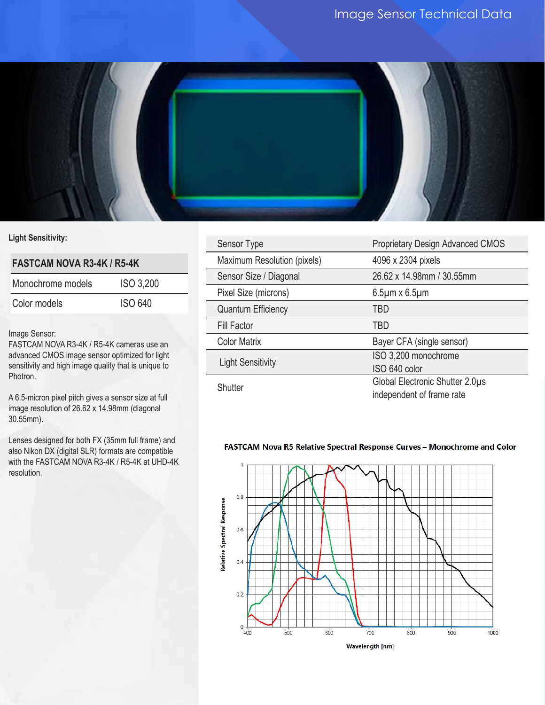

# **Light Sensitivity:**

# **FASTCAM NOVA R3-4K / R5-4K**

| Monochrome models | <b>ISO 3,200</b> |
|-------------------|------------------|
| Color models      | <b>ISO 640</b>   |

# Image Sensor:

FASTCAM NOVA R3-4K / R5-4K cameras use an advanced CMOS image sensor optimized for light sensitivity and high image quality that is unique to Photron.

A 6.5-micron pixel pitch gives a sensor size at full image resolution of 26.62 x 14.98mm (diagonal 30.55mm).

Lenses designed for both FX (35mm full frame) and also Nikon DX (digital SLR) formats are compatible with the FASTCAM NOVA R3-4K / R5-4K at UHD-4K resolution.

| Sensor Type                 | Proprietary Design Advanced CMOS                             |
|-----------------------------|--------------------------------------------------------------|
| Maximum Resolution (pixels) | 4096 x 2304 pixels                                           |
| Sensor Size / Diagonal      | 26.62 x 14.98mm / 30.55mm                                    |
| Pixel Size (microns)        | $6.5 \mu m \times 6.5 \mu m$                                 |
| <b>Quantum Efficiency</b>   | TBD                                                          |
| <b>Fill Factor</b>          | <b>TBD</b>                                                   |
| <b>Color Matrix</b>         | Bayer CFA (single sensor)                                    |
| <b>Light Sensitivity</b>    | ISO 3,200 monochrome<br>ISO 640 color                        |
| Shutter                     | Global Electronic Shutter 2.0µs<br>independent of frame rate |

# FASTCAM Nova R5 Relative Spectral Response Curves - Monochrome and Color

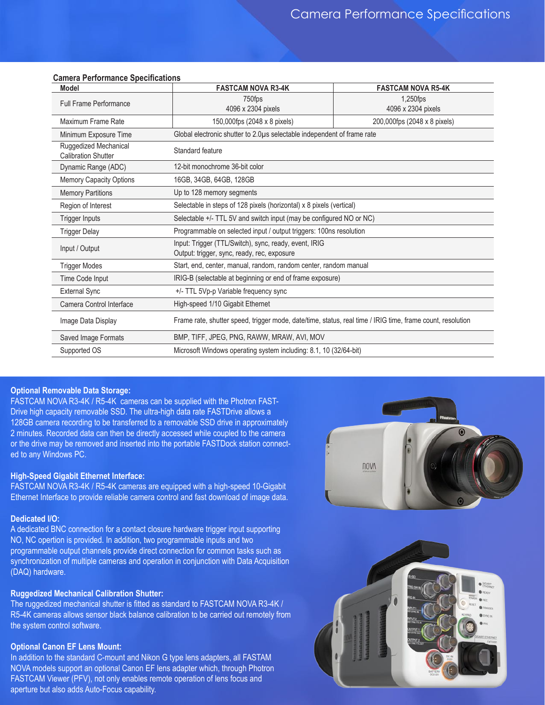| <b>Model</b>                                        | <b>FASTCAM NOVA R3-4K</b>                                                                                  | <b>FASTCAM NOVA R5-4K</b>      |
|-----------------------------------------------------|------------------------------------------------------------------------------------------------------------|--------------------------------|
| <b>Full Frame Performance</b>                       | 750fps<br>4096 x 2304 pixels                                                                               | 1,250fps<br>4096 x 2304 pixels |
| Maximum Frame Rate                                  | 150,000fps (2048 x 8 pixels)                                                                               | 200,000fps (2048 x 8 pixels)   |
| Minimum Exposure Time                               | Global electronic shutter to 2.0µs selectable independent of frame rate                                    |                                |
| Ruggedized Mechanical<br><b>Calibration Shutter</b> | Standard feature                                                                                           |                                |
| Dynamic Range (ADC)                                 | 12-bit monochrome 36-bit color                                                                             |                                |
| <b>Memory Capacity Options</b>                      | 16GB, 34GB, 64GB, 128GB                                                                                    |                                |
| <b>Memory Partitions</b>                            | Up to 128 memory segments                                                                                  |                                |
| Region of Interest                                  | Selectable in steps of 128 pixels (horizontal) x 8 pixels (vertical)                                       |                                |
| <b>Trigger Inputs</b>                               | Selectable +/- TTL 5V and switch input (may be configured NO or NC)                                        |                                |
| <b>Trigger Delay</b>                                | Programmable on selected input / output triggers: 100ns resolution                                         |                                |
| Input / Output                                      | Input: Trigger (TTL/Switch), sync, ready, event, IRIG<br>Output: trigger, sync, ready, rec, exposure       |                                |
| <b>Trigger Modes</b>                                | Start, end, center, manual, random, random center, random manual                                           |                                |
| Time Code Input                                     | IRIG-B (selectable at beginning or end of frame exposure)                                                  |                                |
| <b>External Sync</b>                                | +/- TTL 5Vp-p Variable frequency sync                                                                      |                                |
| Camera Control Interface                            | High-speed 1/10 Gigabit Ethernet                                                                           |                                |
| Image Data Display                                  | Frame rate, shutter speed, trigger mode, date/time, status, real time / IRIG time, frame count, resolution |                                |
| Saved Image Formats                                 | BMP, TIFF, JPEG, PNG, RAWW, MRAW, AVI, MOV                                                                 |                                |
| Supported OS                                        | Microsoft Windows operating system including: 8.1, 10 (32/64-bit)                                          |                                |

#### **Camera Performance Specifications**

# **Optional Removable Data Storage: Mechanical**

FASTCAM NOVA R3-4K / R5-4K  $\,$  cameras can be supplied with the Photron FAST-  $\,$ The Term the monomic movies in the cameras can be exp<sub>ended</sub> manimed the control of the control mounts and the control mounts available control mounts are control mounts available control mounts available control mounts ar 128GB camera recording to be transferred to a removable SSD drive in approximately and since the contraction of 2 minutes. Recorded data can then be directly accessed while coupled to the camera or the drive may be removed and inserted into the portable FASTDock station connected to any Windows PC.

**Mechanical and Environmental Specifications**

#### **High-Speed Gigabit Ethernet Interface:**

mgn-speed sigabit Etherhet interface.<br>FASTCAM NOVA R3-4K / R5-4K cameras are equipped with a high-speed 10-Gigabit First channel ment in the first team camera control and fast download of image data.

#### **Dedicated I/O: Storage Temperature**

A dedicated BNC connection for a contact closure hardware trigger input supporting NO, NC opertion is provided. In addition, two programmable inputs and two no, no operiton is provided. In addition, two programmable inputs and two<br>programmable output channels provide direct connection for common tasks such as programments cap at channele preview an excommendatively common detail as a specifical synchronization of multiple cameras and operation in conjunction with Data Acquisition (DAQ) hardware.

# Ruggedized Mechanical Calibration Shutter<mark>:</mark>

The ruggedized mechanical shutter is fitted as standard to FASTCAM NOVA R3-4K / The ruggedized mechanical shatter is littled as standard to 1 AO FOAM NO WATG-HIV/<br>R5-4K cameras allows sensor black balance calibration to be carried out remotely from the system control software.

#### **Optional Canon EF Lens Mount:**

In addition to the standard C-mount and Nikon G type lens adapters, all FASTAM NOVA models support an optional Canon EF lens adapter which, through Photron FASTCAM Viewer (PFV), not only enables remote operation of lens focus and aperture but also adds Auto-Focus capability.



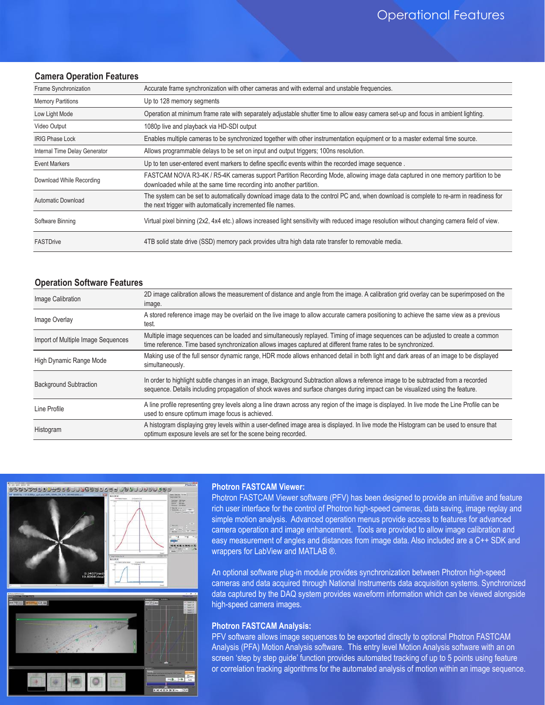#### **Camera Operation Features**

| Frame Synchronization         | Accurate frame synchronization with other cameras and with external and unstable frequencies.                                                                                                          |  |
|-------------------------------|--------------------------------------------------------------------------------------------------------------------------------------------------------------------------------------------------------|--|
| <b>Memory Partitions</b>      | Up to 128 memory segments                                                                                                                                                                              |  |
| Low Light Mode                | Operation at minimum frame rate with separately adjustable shutter time to allow easy camera set-up and focus in ambient lighting.                                                                     |  |
| Video Output                  | 1080p live and playback via HD-SDI output                                                                                                                                                              |  |
| <b>IRIG Phase Lock</b>        | Enables multiple cameras to be synchronized together with other instrumentation equipment or to a master external time source.                                                                         |  |
| Internal Time Delay Generator | Allows programmable delays to be set on input and output triggers; 100ns resolution.                                                                                                                   |  |
| <b>Event Markers</b>          | Up to ten user-entered event markers to define specific events within the recorded image sequence.                                                                                                     |  |
| Download While Recording      | FASTCAM NOVA R3-4K / R5-4K cameras support Partition Recording Mode, allowing image data captured in one memory partition to be<br>downloaded while at the same time recording into another partition. |  |
| Automatic Download            | The system can be set to automatically download image data to the control PC and, when download is complete to re-arm in readiness for<br>the next trigger with automatically incremented file names.  |  |
| Software Binning              | Virtual pixel binning (2x2, 4x4 etc.) allows increased light sensitivity with reduced image resolution without changing camera field of view.                                                          |  |
| <b>FASTDrive</b>              | 4TB solid state drive (SSD) memory pack provides ultra high data rate transfer to removable media.                                                                                                     |  |

#### **Operation Software Features**

| Image Calibration                  | 2D image calibration allows the measurement of distance and angle from the image. A calibration grid overlay can be superimposed on the<br>image.                                                                                                                   |
|------------------------------------|---------------------------------------------------------------------------------------------------------------------------------------------------------------------------------------------------------------------------------------------------------------------|
| Image Overlay                      | A stored reference image may be overlaid on the live image to allow accurate camera positioning to achieve the same view as a previous<br>test.                                                                                                                     |
| Import of Multiple Image Sequences | Multiple image sequences can be loaded and simultaneously replayed. Timing of image sequences can be adjusted to create a common<br>time reference. Time based synchronization allows images captured at different frame rates to be synchronized.                  |
| High Dynamic Range Mode            | Making use of the full sensor dynamic range, HDR mode allows enhanced detail in both light and dark areas of an image to be displayed<br>simultaneously.                                                                                                            |
| <b>Background Subtraction</b>      | In order to highlight subtle changes in an image, Background Subtraction allows a reference image to be subtracted from a recorded<br>sequence. Details including propagation of shock waves and surface changes during impact can be visualized using the feature. |
| Line Profile                       | A line profile representing grey levels along a line drawn across any region of the image is displayed. In live mode the Line Profile can be<br>used to ensure optimum image focus is achieved.                                                                     |
| Histogram                          | A histogram displaying grey levels within a user-defined image area is displayed. In live mode the Histogram can be used to ensure that<br>optimum exposure levels are set for the scene being recorded.                                                            |



#### **Photron FASTCAM Viewer:**

Photron FASTCAM Viewer software (PFV) has been designed to provide an intuitive and feature rich user interface for the control of Photron high-speed cameras, data saving, image replay and simple motion analysis. Advanced operation menus provide access to features for advanced camera operation and image enhancement. Tools are provided to allow image calibration and easy measurement of angles and distances from image data. Also included are a C++ SDK and wrappers for LabView and MATLAB ®.

An optional software plug-in module provides synchronization between Photron high-speed cameras and data acquired through National Instruments data acquisition systems. Synchronized data captured by the DAQ system provides waveform information which can be viewed alongside high-speed camera images.

#### **Photron FASTCAM Analysis:**

PFV software allows image sequences to be exported directly to optional Photron FASTCAM Analysis (PFA) Motion Analysis software. This entry level Motion Analysis software with an on screen 'step by step guide' function provides automated tracking of up to 5 points using feature or correlation tracking algorithms for the automated analysis of motion within an image sequence.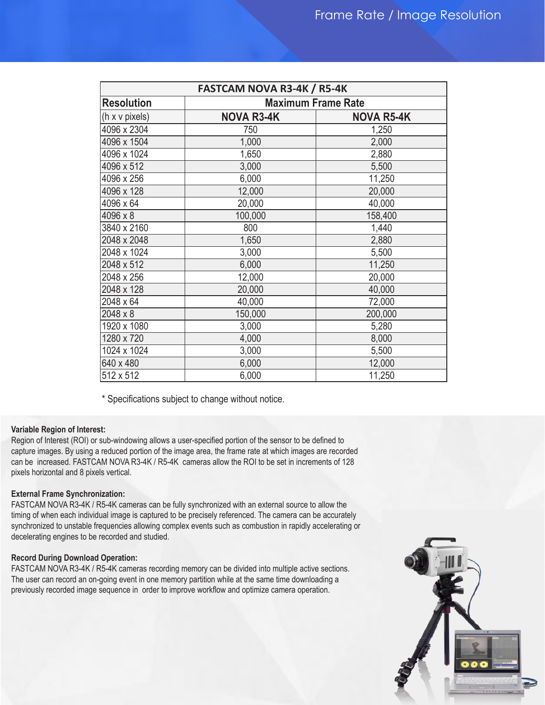| <b>FASTCAM NOVA R3-4K / R5-4K</b> |                           |                   |
|-----------------------------------|---------------------------|-------------------|
| <b>Resolution</b>                 | <b>Maximum Frame Rate</b> |                   |
| (h x v pixels)                    | <b>NOVA R3-4K</b>         | <b>NOVA R5-4K</b> |
| 4096 x 2304                       | 750                       | 1,250             |
| 4096 x 1504                       | 1,000                     | 2,000             |
| 4096 x 1024                       | 1,650                     | 2,880             |
| 4096 x 512                        | 3,000                     | 5,500             |
| 4096 x 256                        | 6,000                     | 11,250            |
| 4096 x 128                        | 12,000                    | 20,000            |
| 4096 x 64                         | 20,000                    | 40,000            |
| 4096 x 8                          | 100,000                   | 158,400           |
| 3840 x 2160                       | 800                       | 1,440             |
| 2048 x 2048                       | 1,650                     | 2,880             |
| 2048 x 1024                       | 3,000                     | 5,500             |
| 2048 x 512                        | 6,000                     | 11,250            |
| 2048 x 256                        | 12,000                    | 20,000            |
| 2048 x 128                        | 20,000                    | 40,000            |
| 2048 x 64                         | 40,000                    | 72,000            |
| 2048 x 8                          | 150,000                   | 200,000           |
| 1920 x 1080                       | 3,000                     | 5,280             |
| 1280 x 720                        | 4,000                     | 8,000             |
| 1024 x 1024                       | 3,000                     | 5,500             |
| 640 x 480                         | 6,000                     | 12,000            |
| 512 x 512                         | 6,000                     | 11,250            |

\* Specifications subject to change without notice.

#### **Variable Region of Interest:**

Region of Interest (ROI) or sub-windowing allows a user-specified portion of the sensor to be defined to capture images. By using a reduced portion of the image area, the frame rate at which images are recorded can be increased. FASTCAM NOVA R3-4K / R5-4K cameras allow the ROI to be set in increments of 128 pixels horizontal and 8 pixels vertical.

#### **External Frame Synchronization:**

FASTCAM NOVA R3-4K / R5-4K cameras can be fully synchronized with an external source to allow the timing of when each individual image is captured to be precisely referenced. The camera can be accurately synchronized to unstable frequencies allowing complex events such as combustion in rapidly accelerating or decelerating engines to be recorded and studied.

# **Record During Download Operation:**

FASTCAM NOVA R3-4K / R5-4K cameras recording memory can be divided into multiple active sections. The user can record an on-going event in one memory partition while at the same time downloading a previously recorded image sequence in order to improve workflow and optimize camera operation.